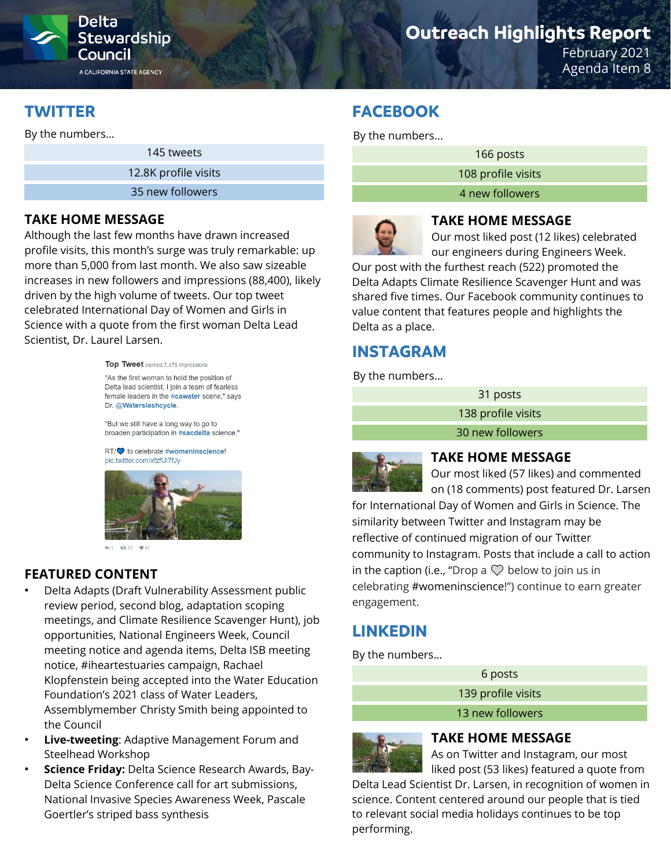

# **Stewardship**

A CALIFORNIA STATE AGENCY

# **Outreach Highlights Report**

February 2021 Agenda Item 8

# **TWITTER**

By the numbers…

145 tweets

12.8K profile visits

35 new followers

#### **TAKE HOME MESSAGE**

Although the last few months have drawn increased profile visits, this month's surge was truly remarkable: up more than 5,000 from last month. We also saw sizeable increases in new followers and impressions (88,400), likely driven by the high volume of tweets. Our top tweet celebrated International Day of Women and Girls in Science with a quote from the first woman Delta Lead Scientist, Dr. Laurel Larsen.

Top Tweet earned 7,476 impressions

"As the first woman to hold the position of Delta lead scientist, I join a team of fearless female leaders in the #cawater scene," says Dr. @Waterslashcycle.

"But we still have a long way to go to broaden participation in #sacdelta science."

RT/ $\bullet$  to celebrate #womeninscience! pic.twitter.com/xfzfUI7fJv



### **FEATURED CONTENT**

- Delta Adapts (Draft Vulnerability Assessment public review period, second blog, adaptation scoping meetings, and Climate Resilience Scavenger Hunt), job opportunities, National Engineers Week, Council meeting notice and agenda items, Delta ISB meeting notice, #iheartestuaries campaign, Rachael Klopfenstein being accepted into the Water Education Foundation's 2021 class of Water Leaders, Assemblymember Christy Smith being appointed to the Council
- **Live-tweeting**: Adaptive Management Forum and Steelhead Workshop
- **Science Friday:** Delta Science Research Awards, Bay-Delta Science Conference call for art submissions, National Invasive Species Awareness Week, Pascale Goertler's striped bass synthesis

# **FACEBOOK**

By the numbers…

166 posts

108 profile visits

4 new followers



**TAKE HOME MESSAGE** 

Our most liked post (12 likes) celebrated our engineers during Engineers Week.

Our post with the furthest reach (522) promoted the Delta Adapts Climate Resilience Scavenger Hunt and was shared five times. Our Facebook community continues to value content that features people and highlights the Delta as a place.

# **INSTAGRAM**

By the numbers…

31 posts 138 profile visits 30 new followers



**TAKE HOME MESSAGE**

Our most liked (57 likes) and commented on (18 comments) post featured Dr. Larsen

for International Day of Women and Girls in Science. The similarity between Twitter and Instagram may be reflective of continued migration of our Twitter community to Instagram. Posts that include a call to action in the caption (i.e., "Drop a  $\heartsuit$  below to join us in celebrating #womeninscience!") continue to earn greater engagement.

# **LINKEDIN**

By the numbers…

| 6 posts            |  |
|--------------------|--|
| 139 profile visits |  |
| 13 new followers   |  |



#### **TAKE HOME MESSAGE**

As on Twitter and Instagram, our most liked post (53 likes) featured a quote from

Delta Lead Scientist Dr. Larsen, in recognition of women in science. Content centered around our people that is tied to relevant social media holidays continues to be top performing.